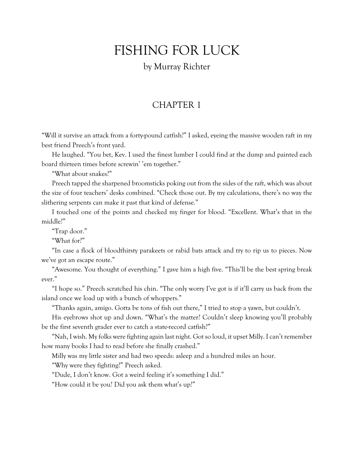## FISHING FOR LUCK

## by Murray Richter

## CHAPTER 1

"Will it survive an attack from a forty-pound catfish?" I asked, eyeing the massive wooden raft in my best friend Preech's front yard.

He laughed. "You bet, Kev. I used the finest lumber I could find at the dump and painted each board thirteen times before screwin' 'em together."

"What about snakes?"

Preech tapped the sharpened broomsticks poking out from the sides of the raft, which was about the size of four teachers' desks combined. "Check those out. By my calculations, there's no way the slithering serpents can make it past that kind of defense."

I touched one of the points and checked my finger for blood. "Excellent. What's that in the middle?"

"Trap door."

"What for?"

"In case a flock of bloodthirsty parakeets or rabid bats attack and try to rip us to pieces. Now we've got an escape route."

"Awesome. You thought of everything." I gave him a high five. "This'll be the best spring break ever."

"I hope so." Preech scratched his chin. "The only worry I've got is if it'll carry us back from the island once we load up with a bunch of whoppers."

"Thanks again, amigo. Gotta be tons of fish out there," I tried to stop a yawn, but couldn't.

His eyebrows shot up and down. "What's the matter? Couldn't sleep knowing you'll probably be the first seventh grader ever to catch a state-record catfish?"

"Nah, I wish. My folks were fighting again last night. Got so loud, it upset Milly. I can't remember how many books I had to read before she finally crashed."

Milly was my little sister and had two speeds: asleep and a hundred miles an hour.

"Why were they fighting?" Preech asked.

"Dude, I don't know. Got a weird feeling it's something I did."

"How could it be you? Did you ask them what's up?"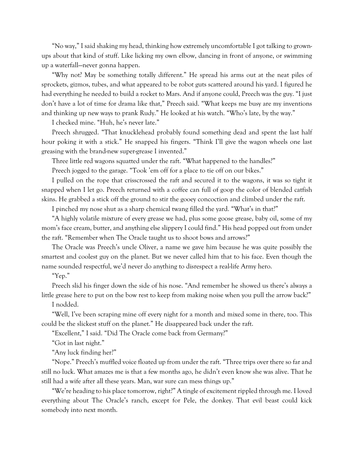"No way," I said shaking my head, thinking how extremely uncomfortable I got talking to grownups about that kind of stuff. Like licking my own elbow, dancing in front of anyone, or swimming up a waterfall—never gonna happen.

"Why not? May be something totally different." He spread his arms out at the neat piles of sprockets, gizmos, tubes, and what appeared to be robot guts scattered around his yard. I figured he had everything he needed to build a rocket to Mars. And if anyone could, Preech was the guy. "I just don't have a lot of time for drama like that," Preech said. "What keeps me busy are my inventions and thinking up new ways to prank Rudy." He looked at his watch. "Who's late, by the way."

I checked mine. "Huh, he's never late."

Preech shrugged. "That knucklehead probably found something dead and spent the last half hour poking it with a stick." He snapped his fingers. "Think I'll give the wagon wheels one last greasing with the brand-new super-grease I invented."

Three little red wagons squatted under the raft. "What happened to the handles?"

Preech jogged to the garage. "Took 'em off for a place to tie off on our bikes."

I pulled on the rope that crisscrossed the raft and secured it to the wagons, it was so tight it snapped when I let go. Preech returned with a coffee can full of goop the color of blended catfish skins. He grabbed a stick off the ground to stir the gooey concoction and climbed under the raft.

I pinched my nose shut as a sharp chemical twang filled the yard. "What's in that?"

"A highly volatile mixture of every grease we had, plus some goose grease, baby oil, some of my mom's face cream, butter, and anything else slippery I could find." His head popped out from under the raft. "Remember when The Oracle taught us to shoot bows and arrows?"

The Oracle was Preech's uncle Oliver, a name we gave him because he was quite possibly the smartest and coolest guy on the planet. But we never called him that to his face. Even though the name sounded respectful, we'd never do anything to disrespect a real-life Army hero.

"Yep."

Preech slid his finger down the side of his nose. "And remember he showed us there's always a little grease here to put on the bow rest to keep from making noise when you pull the arrow back?"

I nodded.

"Well, I've been scraping mine off every night for a month and mixed some in there, too. This could be the slickest stuff on the planet." He disappeared back under the raft.

"Excellent," I said. "Did The Oracle come back from Germany?"

"Got in last night."

"Any luck finding her?"

"Nope." Preech's muffled voice floated up from under the raft. "Three trips over there so far and still no luck. What amazes me is that a few months ago, he didn't even know she was alive. That he still had a wife after all these years. Man, war sure can mess things up."

"We're heading to his place tomorrow, right?" A tingle of excitement rippled through me. I loved everything about The Oracle's ranch, except for Pele, the donkey. That evil beast could kick somebody into next month.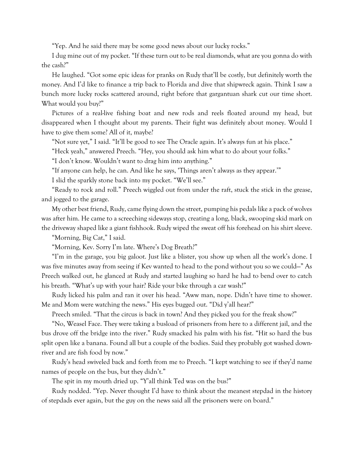"Yep. And he said there may be some good news about our lucky rocks."

I dug mine out of my pocket. "If these turn out to be real diamonds, what are you gonna do with the cash?"

He laughed. "Got some epic ideas for pranks on Rudy that'll be costly, but definitely worth the money. And I'd like to finance a trip back to Florida and dive that shipwreck again. Think I saw a bunch more lucky rocks scattered around, right before that gargantuan shark cut our time short. What would you buy?"

Pictures of a real-live fishing boat and new rods and reels floated around my head, but disappeared when I thought about my parents. Their fight was definitely about money. Would I have to give them some? All of it, maybe?

"Not sure yet," I said. "It'll be good to see The Oracle again. It's always fun at his place."

"Heck yeah," answered Preech. "Hey, you should ask him what to do about your folks."

"I don't know. Wouldn't want to drag him into anything."

"If anyone can help, he can. And like he says, 'Things aren't always as they appear.'"

I slid the sparkly stone back into my pocket. "We'll see."

"Ready to rock and roll." Preech wiggled out from under the raft, stuck the stick in the grease, and jogged to the garage.

My other best friend, Rudy, came flying down the street, pumping his pedals like a pack of wolves was after him. He came to a screeching sideways stop, creating a long, black, swooping skid mark on the driveway shaped like a giant fishhook. Rudy wiped the sweat off his forehead on his shirt sleeve.

"Morning, Big Cat," I said.

"Morning, Kev. Sorry I'm late. Where's Dog Breath?"

"I'm in the garage, you big galoot. Just like a blister, you show up when all the work's done. I was five minutes away from seeing if Kev wanted to head to the pond without you so we could—" As Preech walked out, he glanced at Rudy and started laughing so hard he had to bend over to catch his breath. "What's up with your hair? Ride your bike through a car wash?"

Rudy licked his palm and ran it over his head. "Aww man, nope. Didn't have time to shower. Me and Mom were watching the news." His eyes bugged out. "Did y'all hear?"

Preech smiled. "That the circus is back in town? And they picked you for the freak show?"

"No, Weasel Face. They were taking a busload of prisoners from here to a different jail, and the bus drove off the bridge into the river." Rudy smacked his palm with his fist. "Hit so hard the bus split open like a banana. Found all but a couple of the bodies. Said they probably got washed downriver and are fish food by now."

Rudy's head swiveled back and forth from me to Preech. "I kept watching to see if they'd name names of people on the bus, but they didn't."

The spit in my mouth dried up. "Y'all think Ted was on the bus?"

Rudy nodded. "Yep. Never thought I'd have to think about the meanest stepdad in the history of stepdads ever again, but the guy on the news said all the prisoners were on board."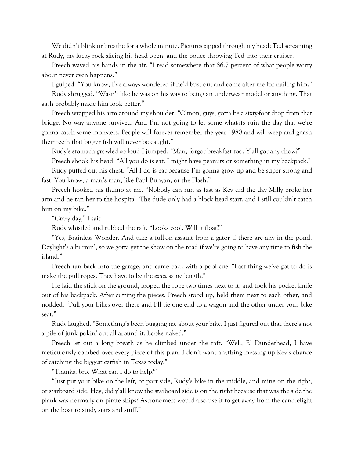We didn't blink or breathe for a whole minute. Pictures zipped through my head: Ted screaming at Rudy, my lucky rock slicing his head open, and the police throwing Ted into their cruiser.

Preech waved his hands in the air. "I read somewhere that 86.7 percent of what people worry about never even happens."

I gulped. "You know, I've always wondered if he'd bust out and come after me for nailing him."

Rudy shrugged. "Wasn't like he was on his way to being an underwear model or anything. That gash probably made him look better."

Preech wrapped his arm around my shoulder. "C'mon, guys, gotta be a sixty-foot drop from that bridge. No way anyone survived. And I'm not going to let some what-ifs ruin the day that we're gonna catch some monsters. People will forever remember the year 1980 and will weep and gnash their teeth that bigger fish will never be caught."

Rudy's stomach growled so loud I jumped. "Man, forgot breakfast too. Y'all got any chow?"

Preech shook his head. "All you do is eat. I might have peanuts or something in my backpack." Rudy puffed out his chest. "All I do is eat because I'm gonna grow up and be super strong and fast. You know, a man's man, like Paul Bunyan, or the Flash."

Preech hooked his thumb at me. "Nobody can run as fast as Kev did the day Milly broke her arm and he ran her to the hospital. The dude only had a block head start, and I still couldn't catch him on my bike."

"Crazy day," I said.

Rudy whistled and rubbed the raft. "Looks cool. Will it float?"

"Yes, Brainless Wonder. And take a full-on assault from a gator if there are any in the pond. Daylight's a burnin', so we gotta get the show on the road if we're going to have any time to fish the island."

Preech ran back into the garage, and came back with a pool cue. "Last thing we've got to do is make the pull ropes. They have to be the *exact* same length."

He laid the stick on the ground, looped the rope two times next to it, and took his pocket knife out of his backpack. After cutting the pieces, Preech stood up, held them next to each other, and nodded. "Pull your bikes over there and I'll tie one end to a wagon and the other under your bike seat."

Rudy laughed. "Something's been bugging me about your bike. I just figured out that there's not a pile of junk pokin' out all around it. Looks naked."

Preech let out a long breath as he climbed under the raft. "Well, El Dunderhead, I have meticulously combed over every piece of this plan. I don't want anything messing up Kev's chance of catching the biggest catfish in Texas today."

"Thanks, bro. What can I do to help?"

"Just put your bike on the left, or port side, Rudy's bike in the middle, and mine on the right, or starboard side. Hey, did y'all know the starboard side is on the right because that was the side the plank was normally on pirate ships? Astronomers would also use it to get away from the candlelight on the boat to study stars and stuff."